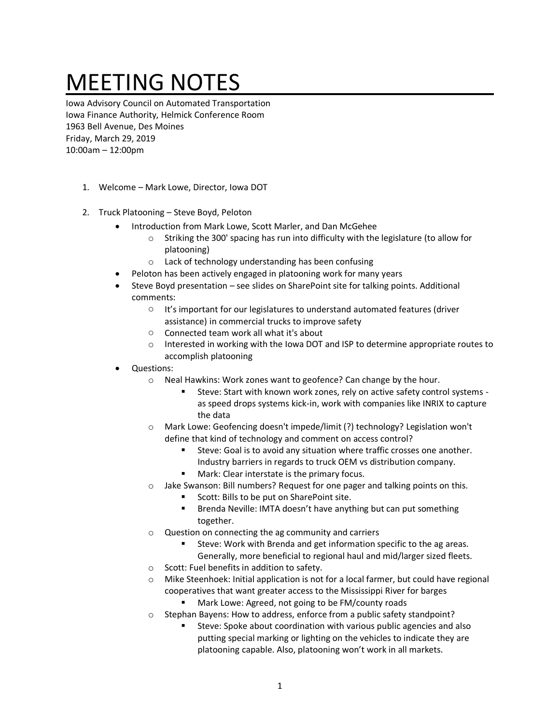## MEETING NOTES

Iowa Advisory Council on Automated Transportation Iowa Finance Authority, Helmick Conference Room 1963 Bell Avenue, Des Moines Friday, March 29, 2019 10:00am – 12:00pm

- 1. Welcome Mark Lowe, Director, Iowa DOT
- 2. Truck Platooning Steve Boyd, Peloton
	- Introduction from Mark Lowe, Scott Marler, and Dan McGehee
		- Striking the 300' spacing has run into difficulty with the legislature (to allow for platooning)
		- o Lack of technology understanding has been confusing
	- Peloton has been actively engaged in platooning work for many years
	- Steve Boyd presentation see slides on SharePoint site for talking points. Additional comments:
		- o It's important for our legislatures to understand automated features (driver assistance) in commercial trucks to improve safety
		- o Connected team work all what it's about
		- o Interested in working with the Iowa DOT and ISP to determine appropriate routes to accomplish platooning
	- Questions:
		- o Neal Hawkins: Work zones want to geofence? Can change by the hour.
			- Steve: Start with known work zones, rely on active safety control systems as speed drops systems kick-in, work with companies like INRIX to capture the data
		- o Mark Lowe: Geofencing doesn't impede/limit (?) technology? Legislation won't define that kind of technology and comment on access control?
			- Steve: Goal is to avoid any situation where traffic crosses one another. Industry barriers in regards to truck OEM vs distribution company.
			- Mark: Clear interstate is the primary focus.
		- o Jake Swanson: Bill numbers? Request for one pager and talking points on this.
			- Scott: Bills to be put on SharePoint site.
			- Brenda Neville: IMTA doesn't have anything but can put something together.
		- o Question on connecting the ag community and carriers
			- Steve: Work with Brenda and get information specific to the ag areas. Generally, more beneficial to regional haul and mid/larger sized fleets.
		- o Scott: Fuel benefits in addition to safety.
		- o Mike Steenhoek: Initial application is not for a local farmer, but could have regional cooperatives that want greater access to the Mississippi River for barges
			- Mark Lowe: Agreed, not going to be FM/county roads
		- Stephan Bayens: How to address, enforce from a public safety standpoint?
			- Steve: Spoke about coordination with various public agencies and also putting special marking or lighting on the vehicles to indicate they are platooning capable. Also, platooning won't work in all markets.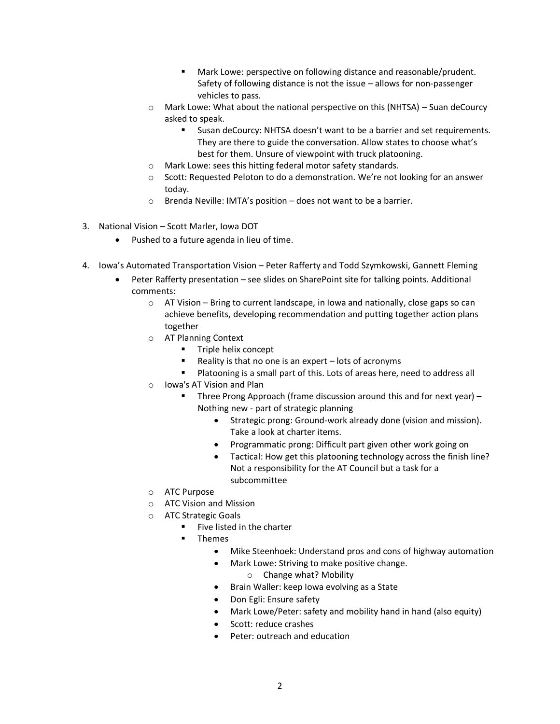- Mark Lowe: perspective on following distance and reasonable/prudent. Safety of following distance is not the issue – allows for non-passenger vehicles to pass.
- o Mark Lowe: What about the national perspective on this (NHTSA) Suan deCourcy asked to speak.
	- Susan deCourcy: NHTSA doesn't want to be a barrier and set requirements. They are there to guide the conversation. Allow states to choose what's best for them. Unsure of viewpoint with truck platooning.
- o Mark Lowe: sees this hitting federal motor safety standards.
- $\circ$  Scott: Requested Peloton to do a demonstration. We're not looking for an answer today.
- o Brenda Neville: IMTA's position does not want to be a barrier.
- 3. National Vision Scott Marler, Iowa DOT
	- Pushed to a future agenda in lieu of time.
- 4. Iowa's Automated Transportation Vision Peter Rafferty and Todd Szymkowski, Gannett Fleming
	- Peter Rafferty presentation see slides on SharePoint site for talking points. Additional comments:
		- $\circ$  AT Vision Bring to current landscape, in Iowa and nationally, close gaps so can achieve benefits, developing recommendation and putting together action plans together
		- o AT Planning Context
			- Triple helix concept
			- Reality is that no one is an expert lots of acronyms
			- Platooning is a small part of this. Lots of areas here, need to address all
		- o Iowa's AT Vision and Plan
			- Three Prong Approach (frame discussion around this and for next year) Nothing new - part of strategic planning
				- Strategic prong: Ground-work already done (vision and mission). Take a look at charter items.
				- Programmatic prong: Difficult part given other work going on
				- Tactical: How get this platooning technology across the finish line? Not a responsibility for the AT Council but a task for a subcommittee
		- o ATC Purpose
		- o ATC Vision and Mission
		- o ATC Strategic Goals
			- Five listed in the charter
			- **Themes** 
				- Mike Steenhoek: Understand pros and cons of highway automation
				- Mark Lowe: Striving to make positive change.
					- o Change what? Mobility
				- Brain Waller: keep Iowa evolving as a State
				- Don Egli: Ensure safety
				- Mark Lowe/Peter: safety and mobility hand in hand (also equity)
				- Scott: reduce crashes
				- Peter: outreach and education